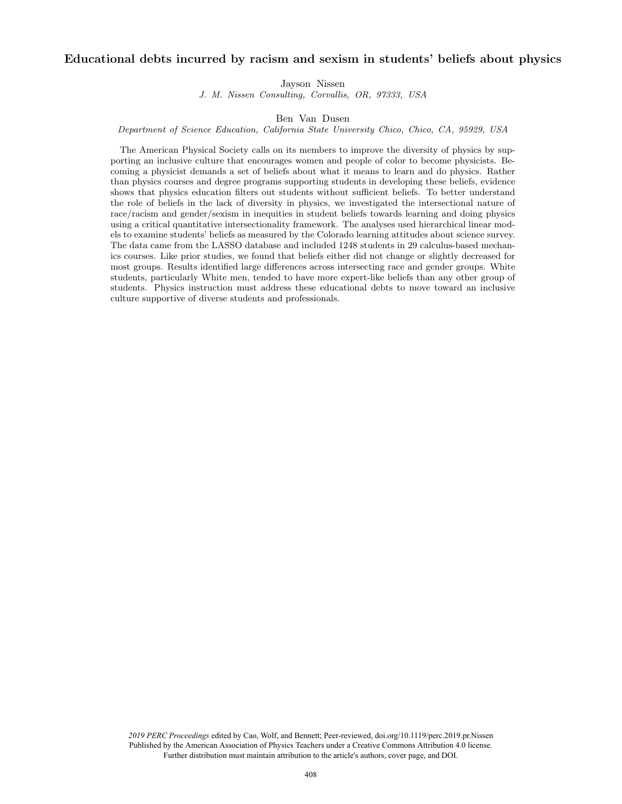# Educational debts incurred by racism and sexism in students' beliefs about physics

Jayson Nissen

J. M. Nissen Consulting, Corvallis, OR, 97333, USA

Ben Van Dusen

Department of Science Education, California State University Chico, Chico, CA, 95929, USA

The American Physical Society calls on its members to improve the diversity of physics by supporting an inclusive culture that encourages women and people of color to become physicists. Becoming a physicist demands a set of beliefs about what it means to learn and do physics. Rather than physics courses and degree programs supporting students in developing these beliefs, evidence shows that physics education filters out students without sufficient beliefs. To better understand the role of beliefs in the lack of diversity in physics, we investigated the intersectional nature of race/racism and gender/sexism in inequities in student beliefs towards learning and doing physics using a critical quantitative intersectionality framework. The analyses used hierarchical linear models to examine students' beliefs as measured by the Colorado learning attitudes about science survey. The data came from the LASSO database and included 1248 students in 29 calculus-based mechanics courses. Like prior studies, we found that beliefs either did not change or slightly decreased for most groups. Results identified large differences across intersecting race and gender groups. White students, particularly White men, tended to have more expert-like beliefs than any other group of students. Physics instruction must address these educational debts to move toward an inclusive culture supportive of diverse students and professionals.

*2019 PERC Proceedings* edited by Cao, Wolf, and Bennett; Peer-reviewed, doi.org/10.1119/perc.2019.pr.Nissen Published by the American Association of Physics Teachers under a Creative Commons Attribution 4.0 license. Further distribution must maintain attribution to the article's authors, cover page, and DOI.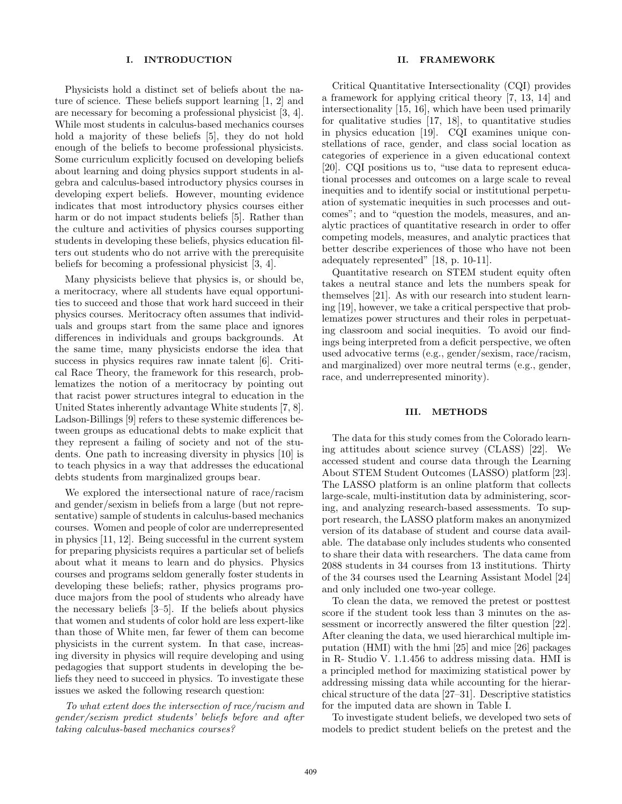### I. INTRODUCTION

Physicists hold a distinct set of beliefs about the nature of science. These beliefs support learning [1, 2] and are necessary for becoming a professional physicist [3, 4]. While most students in calculus-based mechanics courses hold a majority of these beliefs [5], they do not hold enough of the beliefs to become professional physicists. Some curriculum explicitly focused on developing beliefs about learning and doing physics support students in algebra and calculus-based introductory physics courses in developing expert beliefs. However, mounting evidence indicates that most introductory physics courses either harm or do not impact students beliefs [5]. Rather than the culture and activities of physics courses supporting students in developing these beliefs, physics education filters out students who do not arrive with the prerequisite beliefs for becoming a professional physicist [3, 4].

Many physicists believe that physics is, or should be, a meritocracy, where all students have equal opportunities to succeed and those that work hard succeed in their physics courses. Meritocracy often assumes that individuals and groups start from the same place and ignores differences in individuals and groups backgrounds. At the same time, many physicists endorse the idea that success in physics requires raw innate talent [6]. Critical Race Theory, the framework for this research, problematizes the notion of a meritocracy by pointing out that racist power structures integral to education in the United States inherently advantage White students [7, 8]. Ladson-Billings [9] refers to these systemic differences between groups as educational debts to make explicit that they represent a failing of society and not of the students. One path to increasing diversity in physics [10] is to teach physics in a way that addresses the educational debts students from marginalized groups bear.

We explored the intersectional nature of race/racism and gender/sexism in beliefs from a large (but not representative) sample of students in calculus-based mechanics courses. Women and people of color are underrepresented in physics [11, 12]. Being successful in the current system for preparing physicists requires a particular set of beliefs about what it means to learn and do physics. Physics courses and programs seldom generally foster students in developing these beliefs; rather, physics programs produce majors from the pool of students who already have the necessary beliefs [3–5]. If the beliefs about physics that women and students of color hold are less expert-like than those of White men, far fewer of them can become physicists in the current system. In that case, increasing diversity in physics will require developing and using pedagogies that support students in developing the beliefs they need to succeed in physics. To investigate these issues we asked the following research question:

To what extent does the intersection of race/racism and gender/sexism predict students' beliefs before and after taking calculus-based mechanics courses?

### II. FRAMEWORK

Critical Quantitative Intersectionality (CQI) provides a framework for applying critical theory [7, 13, 14] and intersectionality [15, 16], which have been used primarily for qualitative studies [17, 18], to quantitative studies in physics education [19]. CQI examines unique constellations of race, gender, and class social location as categories of experience in a given educational context [20]. CQI positions us to, "use data to represent educational processes and outcomes on a large scale to reveal inequities and to identify social or institutional perpetuation of systematic inequities in such processes and outcomes"; and to "question the models, measures, and analytic practices of quantitative research in order to offer competing models, measures, and analytic practices that better describe experiences of those who have not been adequately represented" [18, p. 10-11].

Quantitative research on STEM student equity often takes a neutral stance and lets the numbers speak for themselves [21]. As with our research into student learning [19], however, we take a critical perspective that problematizes power structures and their roles in perpetuating classroom and social inequities. To avoid our findings being interpreted from a deficit perspective, we often used advocative terms (e.g., gender/sexism, race/racism, and marginalized) over more neutral terms (e.g., gender, race, and underrepresented minority).

### III. METHODS

The data for this study comes from the Colorado learning attitudes about science survey (CLASS) [22]. We accessed student and course data through the Learning About STEM Student Outcomes (LASSO) platform [23]. The LASSO platform is an online platform that collects large-scale, multi-institution data by administering, scoring, and analyzing research-based assessments. To support research, the LASSO platform makes an anonymized version of its database of student and course data available. The database only includes students who consented to share their data with researchers. The data came from 2088 students in 34 courses from 13 institutions. Thirty of the 34 courses used the Learning Assistant Model [24] and only included one two-year college.

To clean the data, we removed the pretest or posttest score if the student took less than 3 minutes on the assessment or incorrectly answered the filter question [22]. After cleaning the data, we used hierarchical multiple imputation (HMI) with the hmi [25] and mice [26] packages in R- Studio V. 1.1.456 to address missing data. HMI is a principled method for maximizing statistical power by addressing missing data while accounting for the hierarchical structure of the data [27–31]. Descriptive statistics for the imputed data are shown in Table I.

To investigate student beliefs, we developed two sets of models to predict student beliefs on the pretest and the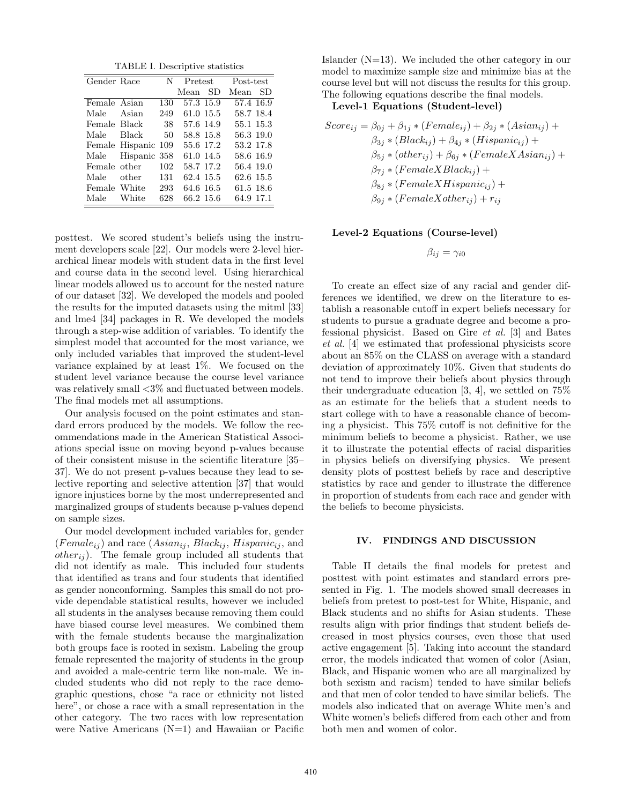TABLE I. Descriptive statistics

| Gender Race  |                     | N   |           | <b>Pretest</b> |           | Post-test |  |
|--------------|---------------------|-----|-----------|----------------|-----------|-----------|--|
|              |                     |     | Mean      | SD             | Mean      | SD        |  |
| Female Asian |                     | 130 | 57.3 15.9 |                | 57.4 16.9 |           |  |
| Male         | Asian               | 249 | 61.0 15.5 |                | 58.7 18.4 |           |  |
| Female Black |                     | 38  | 57.6 14.9 |                | 55.1 15.3 |           |  |
| Male         | Black               | 50  | 58.8 15.8 |                | 56.3 19.0 |           |  |
|              | Female Hispanic 109 |     | 55.6 17.2 |                | 53.2 17.8 |           |  |
|              | Male Hispanic 358   |     | 61.0 14.5 |                | 58.6 16.9 |           |  |
| Female other |                     | 102 | 58.7 17.2 |                | 56.4 19.0 |           |  |
| Male         | other               | 131 | 62.4 15.5 |                | 62.6 15.5 |           |  |
| Female White |                     | 293 | 64.6 16.5 |                | 61.5 18.6 |           |  |
| Male         | White               | 628 | 66.2 15.6 |                | 64.9 17.1 |           |  |

posttest. We scored student's beliefs using the instrument developers scale [22]. Our models were 2-level hierarchical linear models with student data in the first level and course data in the second level. Using hierarchical linear models allowed us to account for the nested nature of our dataset [32]. We developed the models and pooled the results for the imputed datasets using the mitml [33] and lme4 [34] packages in R. We developed the models through a step-wise addition of variables. To identify the simplest model that accounted for the most variance, we only included variables that improved the student-level variance explained by at least 1%. We focused on the student level variance because the course level variance was relatively small <3% and fluctuated between models. The final models met all assumptions.

Our analysis focused on the point estimates and standard errors produced by the models. We follow the recommendations made in the American Statistical Associations special issue on moving beyond p-values because of their consistent misuse in the scientific literature [35– 37]. We do not present p-values because they lead to selective reporting and selective attention [37] that would ignore injustices borne by the most underrepresented and marginalized groups of students because p-values depend on sample sizes.

Our model development included variables for, gender  $(Female_{ij})$  and race  $(Asian_{ij}, Black_{ij}, Hispanic_{ij}, and$  $other_{ij}$ ). The female group included all students that did not identify as male. This included four students that identified as trans and four students that identified as gender nonconforming. Samples this small do not provide dependable statistical results, however we included all students in the analyses because removing them could have biased course level measures. We combined them with the female students because the marginalization both groups face is rooted in sexism. Labeling the group female represented the majority of students in the group and avoided a male-centric term like non-male. We included students who did not reply to the race demographic questions, chose "a race or ethnicity not listed here", or chose a race with a small representation in the other category. The two races with low representation were Native Americans  $(N=1)$  and Hawaiian or Pacific

Islander (N=13). We included the other category in our model to maximize sample size and minimize bias at the course level but will not discuss the results for this group. The following equations describe the final models.

### Level-1 Equations (Student-level)

$$
Score_{ij} = \beta_{0j} + \beta_{1j} * (Female_{ij}) + \beta_{2j} * (Asian_{ij}) +
$$
  
\n
$$
\beta_{3j} * (Black_{ij}) + \beta_{4j} * (Hispanic_{ij}) +
$$
  
\n
$$
\beta_{5j} * (other_{ij}) + \beta_{6j} * (FemaleX Asian_{ij}) +
$$
  
\n
$$
\beta_{7j} * (FemaleX Black_{ij}) +
$$
  
\n
$$
\beta_{8j} * (FemaleX Hispanic_{ij}) +
$$
  
\n
$$
\beta_{9j} * (FemaleX other_{ij}) + r_{ij}
$$

## Level-2 Equations (Course-level)

$$
\beta_{ij}=\gamma_{i0}
$$

To create an effect size of any racial and gender differences we identified, we drew on the literature to establish a reasonable cutoff in expert beliefs necessary for students to pursue a graduate degree and become a professional physicist. Based on Gire et al. [3] and Bates et al. [4] we estimated that professional physicists score about an 85% on the CLASS on average with a standard deviation of approximately 10%. Given that students do not tend to improve their beliefs about physics through their undergraduate education [3, 4], we settled on 75% as an estimate for the beliefs that a student needs to start college with to have a reasonable chance of becoming a physicist. This 75% cutoff is not definitive for the minimum beliefs to become a physicist. Rather, we use it to illustrate the potential effects of racial disparities in physics beliefs on diversifying physics. We present density plots of posttest beliefs by race and descriptive statistics by race and gender to illustrate the difference in proportion of students from each race and gender with the beliefs to become physicists.

#### IV. FINDINGS AND DISCUSSION

Table II details the final models for pretest and posttest with point estimates and standard errors presented in Fig. 1. The models showed small decreases in beliefs from pretest to post-test for White, Hispanic, and Black students and no shifts for Asian students. These results align with prior findings that student beliefs decreased in most physics courses, even those that used active engagement [5]. Taking into account the standard error, the models indicated that women of color (Asian, Black, and Hispanic women who are all marginalized by both sexism and racism) tended to have similar beliefs and that men of color tended to have similar beliefs. The models also indicated that on average White men's and White women's beliefs differed from each other and from both men and women of color.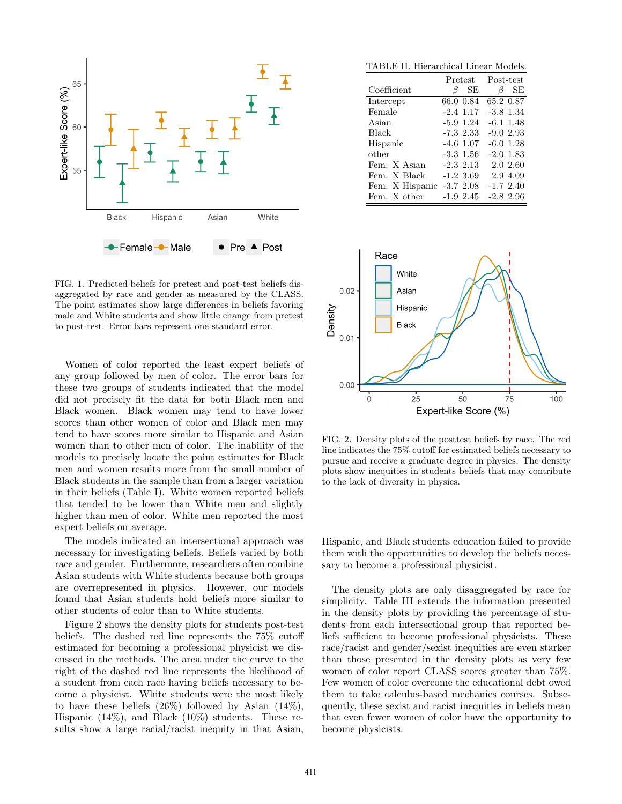

FIG. 1. Predicted beliefs for pretest and post-test beliefs disaggregated by race and gender as measured by the CLASS. The point estimates show large differences in beliefs favoring male and White students and show little change from pretest to post-test. Error bars represent one standard error.

Women of color reported the least expert beliefs of any group followed by men of color. The error bars for these two groups of students indicated that the model did not precisely fit the data for both Black men and Black women. Black women may tend to have lower scores than other women of color and Black men may tend to have scores more similar to Hispanic and Asian women than to other men of color. The inability of the models to precisely locate the point estimates for Black men and women results more from the small number of Black students in the sample than from a larger variation in their beliefs (Table I). White women reported beliefs that tended to be lower than White men and slightly higher than men of color. White men reported the most expert beliefs on average.

The models indicated an intersectional approach was necessary for investigating beliefs. Beliefs varied by both race and gender. Furthermore, researchers often combine Asian students with White students because both groups are overrepresented in physics. However, our models found that Asian students hold beliefs more similar to other students of color than to White students.

Figure 2 shows the density plots for students post-test beliefs. The dashed red line represents the 75% cutoff estimated for becoming a professional physicist we discussed in the methods. The area under the curve to the right of the dashed red line represents the likelihood of a student from each race having beliefs necessary to become a physicist. White students were the most likely to have these beliefs  $(26\%)$  followed by Asian  $(14\%)$ , Hispanic (14%), and Black (10%) students. These results show a large racial/racist inequity in that Asian,

TABLE II. Hierarchical Linear Models.

|                 | Pretest     | Post-test   |  |
|-----------------|-------------|-------------|--|
| Coefficient     | SЕ<br>ß     | SЕ<br>B     |  |
| Intercept       | 66.0 0.84   | 65.2 0.87   |  |
| Female          | $-2.4$ 1.17 | $-3.8$ 1.34 |  |
| Asian           | $-5.9$ 1.24 | $-6.1$ 1.48 |  |
| Black           | $-7.32.33$  | $-9.02.93$  |  |
| Hispanic        | $-4.6$ 1.07 | $-6.0$ 1.28 |  |
| other           | $-3.3$ 1.56 | $-2.0$ 1.83 |  |
| Fem. X Asian    | $-2.3213$   | 2.0 2.60    |  |
| Fem. X Black    | $-1.23.69$  | 2.9 4.09    |  |
| Fem. X Hispanic | $-3.72.08$  | $-1.7$ 2.40 |  |
| Fem. X other    | $-1.9$ 2.45 | $-2.82.96$  |  |



FIG. 2. Density plots of the posttest beliefs by race. The red line indicates the 75% cutoff for estimated beliefs necessary to pursue and receive a graduate degree in physics. The density plots show inequities in students beliefs that may contribute to the lack of diversity in physics.

Hispanic, and Black students education failed to provide them with the opportunities to develop the beliefs necessary to become a professional physicist.

The density plots are only disaggregated by race for simplicity. Table III extends the information presented in the density plots by providing the percentage of students from each intersectional group that reported beliefs sufficient to become professional physicists. These race/racist and gender/sexist inequities are even starker than those presented in the density plots as very few women of color report CLASS scores greater than 75%. Few women of color overcome the educational debt owed them to take calculus-based mechanics courses. Subsequently, these sexist and racist inequities in beliefs mean that even fewer women of color have the opportunity to become physicists.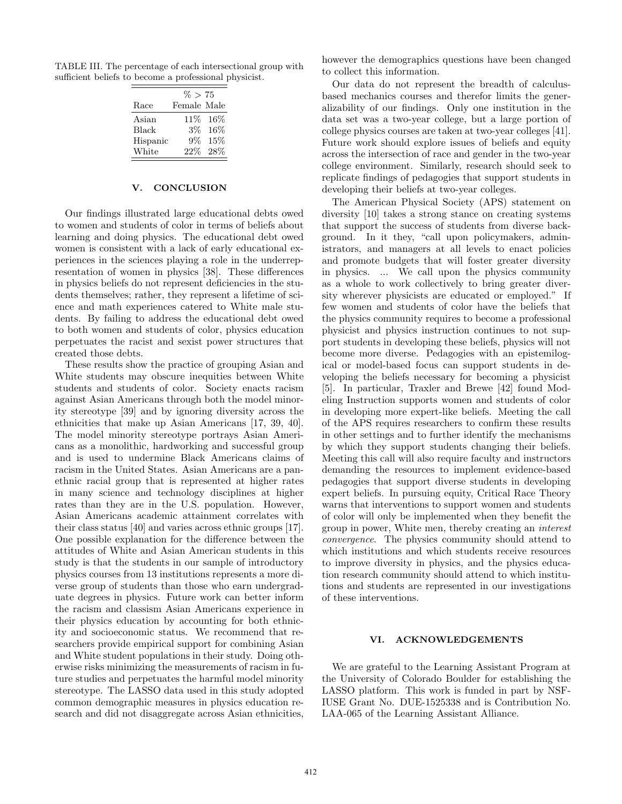TABLE III. The percentage of each intersectional group with sufficient beliefs to become a professional physicist.

|          | $\% > 75$   |           |
|----------|-------------|-----------|
| Race     | Female Male |           |
| Asian    |             | 11\% 16\% |
| Black    | 3%          | 16%       |
| Hispanic | $9\%$       | 15%       |
| White    | 22%         | 28\%      |

## V. CONCLUSION

Our findings illustrated large educational debts owed to women and students of color in terms of beliefs about learning and doing physics. The educational debt owed women is consistent with a lack of early educational experiences in the sciences playing a role in the underrepresentation of women in physics [38]. These differences in physics beliefs do not represent deficiencies in the students themselves; rather, they represent a lifetime of science and math experiences catered to White male students. By failing to address the educational debt owed to both women and students of color, physics education perpetuates the racist and sexist power structures that created those debts.

These results show the practice of grouping Asian and White students may obscure inequities between White students and students of color. Society enacts racism against Asian Americans through both the model minority stereotype [39] and by ignoring diversity across the ethnicities that make up Asian Americans [17, 39, 40]. The model minority stereotype portrays Asian Americans as a monolithic, hardworking and successful group and is used to undermine Black Americans claims of racism in the United States. Asian Americans are a panethnic racial group that is represented at higher rates in many science and technology disciplines at higher rates than they are in the U.S. population. However, Asian Americans academic attainment correlates with their class status [40] and varies across ethnic groups [17]. One possible explanation for the difference between the attitudes of White and Asian American students in this study is that the students in our sample of introductory physics courses from 13 institutions represents a more diverse group of students than those who earn undergraduate degrees in physics. Future work can better inform the racism and classism Asian Americans experience in their physics education by accounting for both ethnicity and socioeconomic status. We recommend that researchers provide empirical support for combining Asian and White student populations in their study. Doing otherwise risks minimizing the measurements of racism in future studies and perpetuates the harmful model minority stereotype. The LASSO data used in this study adopted common demographic measures in physics education research and did not disaggregate across Asian ethnicities,

however the demographics questions have been changed to collect this information.

Our data do not represent the breadth of calculusbased mechanics courses and therefor limits the generalizability of our findings. Only one institution in the data set was a two-year college, but a large portion of college physics courses are taken at two-year colleges [41]. Future work should explore issues of beliefs and equity across the intersection of race and gender in the two-year college environment. Similarly, research should seek to replicate findings of pedagogies that support students in developing their beliefs at two-year colleges.

The American Physical Society (APS) statement on diversity [10] takes a strong stance on creating systems that support the success of students from diverse background. In it they, "call upon policymakers, administrators, and managers at all levels to enact policies and promote budgets that will foster greater diversity in physics. ... We call upon the physics community as a whole to work collectively to bring greater diversity wherever physicists are educated or employed." If few women and students of color have the beliefs that the physics community requires to become a professional physicist and physics instruction continues to not support students in developing these beliefs, physics will not become more diverse. Pedagogies with an epistemilogical or model-based focus can support students in developing the beliefs necessary for becoming a physicist [5]. In particular, Traxler and Brewe [42] found Modeling Instruction supports women and students of color in developing more expert-like beliefs. Meeting the call of the APS requires researchers to confirm these results in other settings and to further identify the mechanisms by which they support students changing their beliefs. Meeting this call will also require faculty and instructors demanding the resources to implement evidence-based pedagogies that support diverse students in developing expert beliefs. In pursuing equity, Critical Race Theory warns that interventions to support women and students of color will only be implemented when they benefit the group in power, White men, thereby creating an interest convergence. The physics community should attend to which institutions and which students receive resources to improve diversity in physics, and the physics education research community should attend to which institutions and students are represented in our investigations of these interventions.

#### VI. ACKNOWLEDGEMENTS

We are grateful to the Learning Assistant Program at the University of Colorado Boulder for establishing the LASSO platform. This work is funded in part by NSF-IUSE Grant No. DUE-1525338 and is Contribution No. LAA-065 of the Learning Assistant Alliance.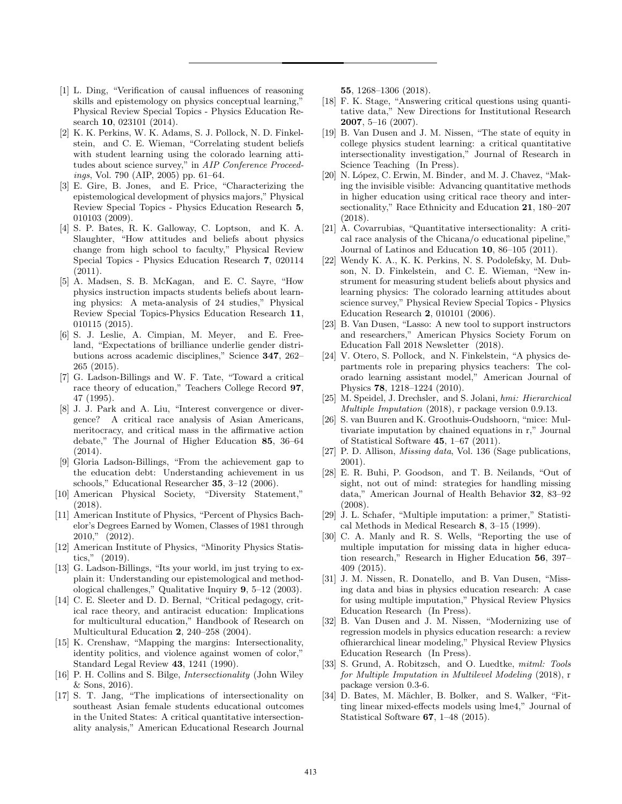- [1] L. Ding, "Verification of causal influences of reasoning skills and epistemology on physics conceptual learning, Physical Review Special Topics - Physics Education Research 10, 023101 (2014).
- [2] K. K. Perkins, W. K. Adams, S. J. Pollock, N. D. Finkelstein, and C. E. Wieman, "Correlating student beliefs with student learning using the colorado learning attitudes about science survey," in AIP Conference Proceedings, Vol. 790 (AIP, 2005) pp. 61–64.
- [3] E. Gire, B. Jones, and E. Price, "Characterizing the epistemological development of physics majors," Physical Review Special Topics - Physics Education Research 5, 010103 (2009).
- [4] S. P. Bates, R. K. Galloway, C. Loptson, and K. A. Slaughter, "How attitudes and beliefs about physics change from high school to faculty," Physical Review Special Topics - Physics Education Research 7, 020114  $(2011).$
- [5] A. Madsen, S. B. McKagan, and E. C. Sayre, "How physics instruction impacts students beliefs about learning physics: A meta-analysis of 24 studies," Physical Review Special Topics-Physics Education Research 11, 010115 (2015).
- [6] S. J. Leslie, A. Cimpian, M. Meyer, and E. Freeland, "Expectations of brilliance underlie gender distributions across academic disciplines," Science 347, 262– 265 (2015).
- [7] G. Ladson-Billings and W. F. Tate, "Toward a critical race theory of education," Teachers College Record 97, 47 (1995).
- [8] J. J. Park and A. Liu, "Interest convergence or divergence? A critical race analysis of Asian Americans, meritocracy, and critical mass in the affirmative action debate," The Journal of Higher Education 85, 36–64 (2014).
- [9] Gloria Ladson-Billings, "From the achievement gap to the education debt: Understanding achievement in us schools," Educational Researcher 35, 3–12 (2006).
- [10] American Physical Society, "Diversity Statement," (2018).
- [11] American Institute of Physics, "Percent of Physics Bachelor's Degrees Earned by Women, Classes of 1981 through 2010," (2012).
- [12] American Institute of Physics, "Minority Physics Statistics," (2019).
- [13] G. Ladson-Billings, "Its your world, im just trying to explain it: Understanding our epistemological and methodological challenges," Qualitative Inquiry 9, 5–12 (2003).
- [14] C. E. Sleeter and D. D. Bernal, "Critical pedagogy, critical race theory, and antiracist education: Implications for multicultural education," Handbook of Research on Multicultural Education 2, 240–258 (2004).
- [15] K. Crenshaw, "Mapping the margins: Intersectionality, identity politics, and violence against women of color," Standard Legal Review 43, 1241 (1990).
- [16] P. H. Collins and S. Bilge, Intersectionality (John Wiley & Sons, 2016).
- [17] S. T. Jang, "The implications of intersectionality on southeast Asian female students educational outcomes in the United States: A critical quantitative intersectionality analysis," American Educational Research Journal

55, 1268–1306 (2018).

- [18] F. K. Stage, "Answering critical questions using quantitative data," New Directions for Institutional Research 2007, 5–16 (2007).
- [19] B. Van Dusen and J. M. Nissen, "The state of equity in college physics student learning: a critical quantitative intersectionality investigation," Journal of Research in Science Teaching (In Press).
- [20] N. López, C. Erwin, M. Binder, and M. J. Chavez, "Making the invisible visible: Advancing quantitative methods in higher education using critical race theory and intersectionality," Race Ethnicity and Education 21, 180–207 (2018).
- [21] A. Covarrubias, "Quantitative intersectionality: A critical race analysis of the Chicana/o educational pipeline," Journal of Latinos and Education 10, 86–105 (2011).
- [22] Wendy K. A., K. K. Perkins, N. S. Podolefsky, M. Dubson, N. D. Finkelstein, and C. E. Wieman, "New instrument for measuring student beliefs about physics and learning physics: The colorado learning attitudes about science survey," Physical Review Special Topics - Physics Education Research 2, 010101 (2006).
- [23] B. Van Dusen, "Lasso: A new tool to support instructors and researchers," American Physics Society Forum on Education Fall 2018 Newsletter (2018).
- [24] V. Otero, S. Pollock, and N. Finkelstein, "A physics departments role in preparing physics teachers: The colorado learning assistant model," American Journal of Physics 78, 1218–1224 (2010).
- [25] M. Speidel, J. Drechsler, and S. Jolani, hmi: Hierarchical Multiple Imputation (2018), r package version 0.9.13.
- [26] S. van Buuren and K. Groothuis-Oudshoorn, "mice: Multivariate imputation by chained equations in r," Journal of Statistical Software 45, 1–67 (2011).
- [27] P. D. Allison, *Missing data*, Vol. 136 (Sage publications, 2001).
- [28] E. R. Buhi, P. Goodson, and T. B. Neilands, "Out of sight, not out of mind: strategies for handling missing data," American Journal of Health Behavior 32, 83–92 (2008).
- [29] J. L. Schafer, "Multiple imputation: a primer," Statistical Methods in Medical Research 8, 3–15 (1999).
- [30] C. A. Manly and R. S. Wells, "Reporting the use of multiple imputation for missing data in higher education research," Research in Higher Education 56, 397– 409 (2015).
- [31] J. M. Nissen, R. Donatello, and B. Van Dusen, "Missing data and bias in physics education research: A case for using multiple imputation," Physical Review Physics Education Research (In Press).
- [32] B. Van Dusen and J. M. Nissen, "Modernizing use of regression models in physics education research: a review ofhierarchical linear modeling," Physical Review Physics Education Research (In Press).
- [33] S. Grund, A. Robitzsch, and O. Luedtke, *mitml: Tools* for Multiple Imputation in Multilevel Modeling (2018), r package version 0.3-6.
- [34] D. Bates, M. Mächler, B. Bolker, and S. Walker, "Fitting linear mixed-effects models using lme4," Journal of Statistical Software 67, 1–48 (2015).